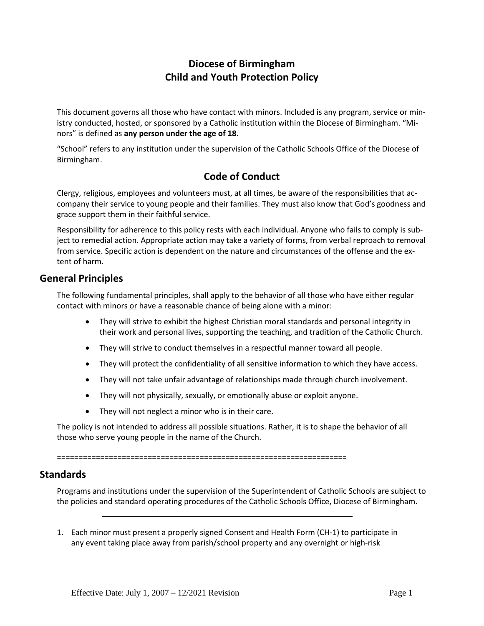# **Diocese of Birmingham Child and Youth Protection Policy**

This document governs all those who have contact with minors. Included is any program, service or ministry conducted, hosted, or sponsored by a Catholic institution within the Diocese of Birmingham. "Minors" is defined as **any person under the age of 18**.

"School" refers to any institution under the supervision of the Catholic Schools Office of the Diocese of Birmingham.

## **Code of Conduct**

Clergy, religious, employees and volunteers must, at all times, be aware of the responsibilities that accompany their service to young people and their families. They must also know that God's goodness and grace support them in their faithful service.

Responsibility for adherence to this policy rests with each individual. Anyone who fails to comply is subject to remedial action. Appropriate action may take a variety of forms, from verbal reproach to removal from service. Specific action is dependent on the nature and circumstances of the offense and the extent of harm.

### **General Principles**

The following fundamental principles, shall apply to the behavior of all those who have either regular contact with minors or have a reasonable chance of being alone with a minor:

- They will strive to exhibit the highest Christian moral standards and personal integrity in their work and personal lives, supporting the teaching, and tradition of the Catholic Church.
- They will strive to conduct themselves in a respectful manner toward all people.
- They will protect the confidentiality of all sensitive information to which they have access.
- They will not take unfair advantage of relationships made through church involvement.
- They will not physically, sexually, or emotionally abuse or exploit anyone.
- They will not neglect a minor who is in their care.

The policy is not intended to address all possible situations. Rather, it is to shape the behavior of all those who serve young people in the name of the Church.

===================================================================

### **Standards**

Programs and institutions under the supervision of the Superintendent of Catholic Schools are subject to the policies and standard operating procedures of the Catholic Schools Office, Diocese of Birmingham.

1. Each minor must present a properly signed Consent and Health Form (CH-1) to participate in any event taking place away from parish/school property and any overnight or high-risk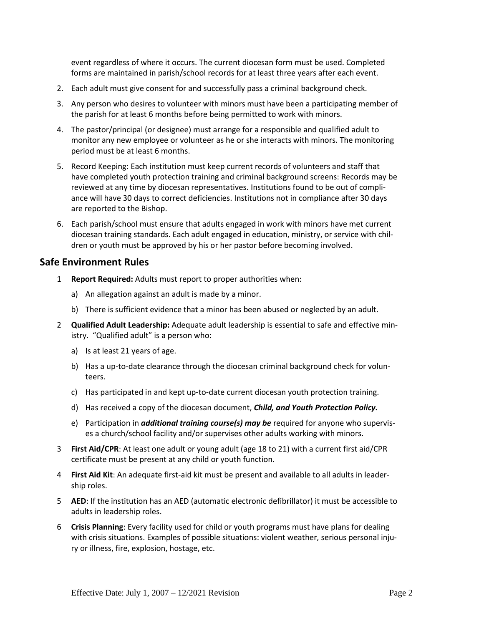event regardless of where it occurs. The current diocesan form must be used. Completed forms are maintained in parish/school records for at least three years after each event.

- 2. Each adult must give consent for and successfully pass a criminal background check.
- 3. Any person who desires to volunteer with minors must have been a participating member of the parish for at least 6 months before being permitted to work with minors.
- 4. The pastor/principal (or designee) must arrange for a responsible and qualified adult to monitor any new employee or volunteer as he or she interacts with minors. The monitoring period must be at least 6 months.
- 5. Record Keeping: Each institution must keep current records of volunteers and staff that have completed youth protection training and criminal background screens: Records may be reviewed at any time by diocesan representatives. Institutions found to be out of compliance will have 30 days to correct deficiencies. Institutions not in compliance after 30 days are reported to the Bishop.
- 6. Each parish/school must ensure that adults engaged in work with minors have met current diocesan training standards. Each adult engaged in education, ministry, or service with children or youth must be approved by his or her pastor before becoming involved.

#### **Safe Environment Rules**

- 1 **Report Required:** Adults must report to proper authorities when:
	- a) An allegation against an adult is made by a minor.
	- b) There is sufficient evidence that a minor has been abused or neglected by an adult.
- 2 **Qualified Adult Leadership:** Adequate adult leadership is essential to safe and effective ministry. "Qualified adult" is a person who:
	- a) Is at least 21 years of age.
	- b) Has a up-to-date clearance through the diocesan criminal background check for volunteers.
	- c) Has participated in and kept up-to-date current diocesan youth protection training.
	- d) Has received a copy of the diocesan document, *Child, and Youth Protection Policy.*
	- e) Participation in *additional training course(s) may be* required for anyone who supervises a church/school facility and/or supervises other adults working with minors.
- 3 **First Aid/CPR**: At least one adult or young adult (age 18 to 21) with a current first aid/CPR certificate must be present at any child or youth function.
- 4 **First Aid Kit**: An adequate first-aid kit must be present and available to all adults in leadership roles.
- 5 **AED**: If the institution has an AED (automatic electronic defibrillator) it must be accessible to adults in leadership roles.
- 6 **Crisis Planning**: Every facility used for child or youth programs must have plans for dealing with crisis situations. Examples of possible situations: violent weather, serious personal injury or illness, fire, explosion, hostage, etc.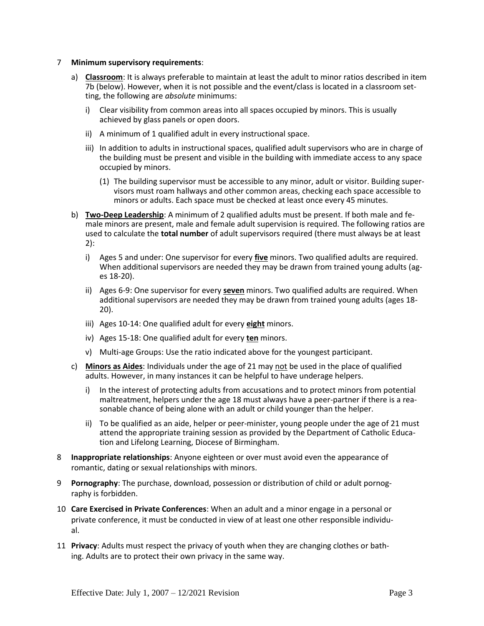#### 7 **Minimum supervisory requirements**:

- a) **Classroom**: It is always preferable to maintain at least the adult to minor ratios described in item 7b (below). However, when it is not possible and the event/class is located in a classroom setting, the following are *absolute* minimums:
	- i) Clear visibility from common areas into all spaces occupied by minors. This is usually achieved by glass panels or open doors.
	- ii) A minimum of 1 qualified adult in every instructional space.
	- iii) In addition to adults in instructional spaces, qualified adult supervisors who are in charge of the building must be present and visible in the building with immediate access to any space occupied by minors.
		- (1) The building supervisor must be accessible to any minor, adult or visitor. Building supervisors must roam hallways and other common areas, checking each space accessible to minors or adults. Each space must be checked at least once every 45 minutes.
- b) **Two-Deep Leadership**: A minimum of 2 qualified adults must be present. If both male and female minors are present, male and female adult supervision is required. The following ratios are used to calculate the **total number** of adult supervisors required (there must always be at least 2):
	- i) Ages 5 and under: One supervisor for every **five** minors. Two qualified adults are required. When additional supervisors are needed they may be drawn from trained young adults (ages 18-20).
	- ii) Ages 6-9: One supervisor for every **seven** minors. Two qualified adults are required. When additional supervisors are needed they may be drawn from trained young adults (ages 18- 20).
	- iii) Ages 10-14: One qualified adult for every **eight** minors.
	- iv) Ages 15-18: One qualified adult for every **ten** minors.
	- v) Multi-age Groups: Use the ratio indicated above for the youngest participant.
- c) **Minors as Aides**: Individuals under the age of 21 may not be used in the place of qualified adults. However, in many instances it can be helpful to have underage helpers.
	- i) In the interest of protecting adults from accusations and to protect minors from potential maltreatment, helpers under the age 18 must always have a peer-partner if there is a reasonable chance of being alone with an adult or child younger than the helper.
	- ii) To be qualified as an aide, helper or peer-minister, young people under the age of 21 must attend the appropriate training session as provided by the Department of Catholic Education and Lifelong Learning, Diocese of Birmingham.
- 8 **Inappropriate relationships**: Anyone eighteen or over must avoid even the appearance of romantic, dating or sexual relationships with minors.
- 9 **Pornography**: The purchase, download, possession or distribution of child or adult pornography is forbidden.
- 10 **Care Exercised in Private Conferences**: When an adult and a minor engage in a personal or private conference, it must be conducted in view of at least one other responsible individual.
- 11 **Privacy**: Adults must respect the privacy of youth when they are changing clothes or bathing. Adults are to protect their own privacy in the same way.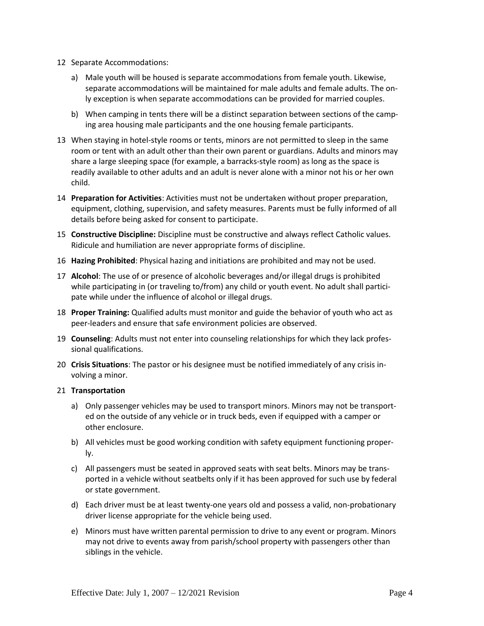- 12 Separate Accommodations:
	- a) Male youth will be housed is separate accommodations from female youth. Likewise, separate accommodations will be maintained for male adults and female adults. The only exception is when separate accommodations can be provided for married couples.
	- b) When camping in tents there will be a distinct separation between sections of the camping area housing male participants and the one housing female participants.
- 13 When staying in hotel-style rooms or tents, minors are not permitted to sleep in the same room or tent with an adult other than their own parent or guardians. Adults and minors may share a large sleeping space (for example, a barracks-style room) as long as the space is readily available to other adults and an adult is never alone with a minor not his or her own child.
- 14 **Preparation for Activities**: Activities must not be undertaken without proper preparation, equipment, clothing, supervision, and safety measures. Parents must be fully informed of all details before being asked for consent to participate.
- 15 **Constructive Discipline:** Discipline must be constructive and always reflect Catholic values. Ridicule and humiliation are never appropriate forms of discipline.
- 16 **Hazing Prohibited**: Physical hazing and initiations are prohibited and may not be used.
- 17 **Alcohol**: The use of or presence of alcoholic beverages and/or illegal drugs is prohibited while participating in (or traveling to/from) any child or youth event. No adult shall participate while under the influence of alcohol or illegal drugs.
- 18 **Proper Training:** Qualified adults must monitor and guide the behavior of youth who act as peer-leaders and ensure that safe environment policies are observed.
- 19 **Counseling**: Adults must not enter into counseling relationships for which they lack professional qualifications.
- 20 **Crisis Situations**: The pastor or his designee must be notified immediately of any crisis involving a minor.

#### 21 **Transportation**

- a) Only passenger vehicles may be used to transport minors. Minors may not be transported on the outside of any vehicle or in truck beds, even if equipped with a camper or other enclosure.
- b) All vehicles must be good working condition with safety equipment functioning properly.
- c) All passengers must be seated in approved seats with seat belts. Minors may be transported in a vehicle without seatbelts only if it has been approved for such use by federal or state government.
- d) Each driver must be at least twenty-one years old and possess a valid, non-probationary driver license appropriate for the vehicle being used.
- e) Minors must have written parental permission to drive to any event or program. Minors may not drive to events away from parish/school property with passengers other than siblings in the vehicle.